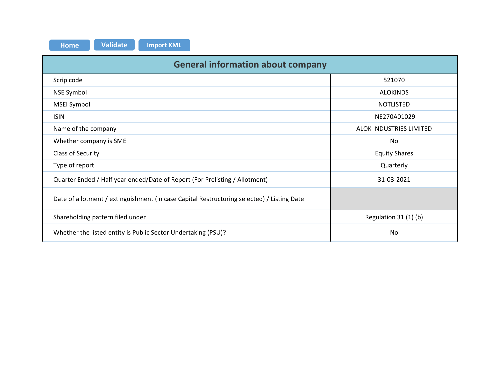| <b>Validate</b><br><b>Import XML</b><br><b>Home</b>                                        |                         |  |  |  |  |  |  |  |  |  |  |  |
|--------------------------------------------------------------------------------------------|-------------------------|--|--|--|--|--|--|--|--|--|--|--|
| <b>General information about company</b>                                                   |                         |  |  |  |  |  |  |  |  |  |  |  |
| Scrip code                                                                                 | 521070                  |  |  |  |  |  |  |  |  |  |  |  |
| NSE Symbol                                                                                 | <b>ALOKINDS</b>         |  |  |  |  |  |  |  |  |  |  |  |
| MSEI Symbol                                                                                | <b>NOTLISTED</b>        |  |  |  |  |  |  |  |  |  |  |  |
| <b>ISIN</b>                                                                                | INE270A01029            |  |  |  |  |  |  |  |  |  |  |  |
| Name of the company                                                                        | ALOK INDUSTRIES LIMITED |  |  |  |  |  |  |  |  |  |  |  |
| Whether company is SME                                                                     | No                      |  |  |  |  |  |  |  |  |  |  |  |
| Class of Security                                                                          | <b>Equity Shares</b>    |  |  |  |  |  |  |  |  |  |  |  |
| Type of report                                                                             | Quarterly               |  |  |  |  |  |  |  |  |  |  |  |
| Quarter Ended / Half year ended/Date of Report (For Prelisting / Allotment)                | 31-03-2021              |  |  |  |  |  |  |  |  |  |  |  |
| Date of allotment / extinguishment (in case Capital Restructuring selected) / Listing Date |                         |  |  |  |  |  |  |  |  |  |  |  |
| Shareholding pattern filed under                                                           | Regulation 31 (1) (b)   |  |  |  |  |  |  |  |  |  |  |  |
| Whether the listed entity is Public Sector Undertaking (PSU)?                              | No                      |  |  |  |  |  |  |  |  |  |  |  |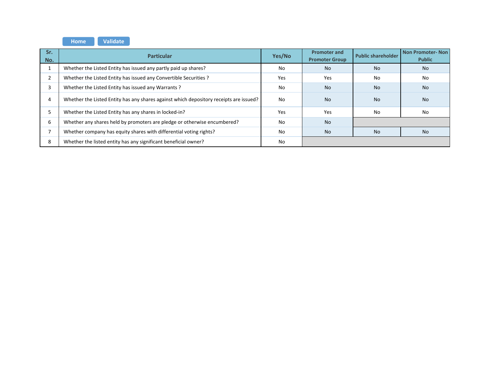**HomeValidate**

| Sr.<br>No. | <b>Particular</b>                                                                      | Yes/No | <b>Promoter and</b><br><b>Promoter Group</b> | <b>Public shareholder</b> | Non Promoter-Non<br><b>Public</b> |  |  |
|------------|----------------------------------------------------------------------------------------|--------|----------------------------------------------|---------------------------|-----------------------------------|--|--|
|            | Whether the Listed Entity has issued any partly paid up shares?                        | No     | <b>No</b>                                    | <b>No</b>                 | <b>No</b>                         |  |  |
|            | Whether the Listed Entity has issued any Convertible Securities ?                      | Yes    | Yes                                          | No                        | No                                |  |  |
|            | Whether the Listed Entity has issued any Warrants?                                     | No     | <b>No</b>                                    | <b>No</b>                 | <b>No</b>                         |  |  |
|            | Whether the Listed Entity has any shares against which depository receipts are issued? | No     | <b>No</b>                                    | <b>No</b>                 | <b>No</b>                         |  |  |
|            | Whether the Listed Entity has any shares in locked-in?                                 | Yes    | Yes                                          | No                        | No                                |  |  |
|            | Whether any shares held by promoters are pledge or otherwise encumbered?               | No     | <b>No</b>                                    |                           |                                   |  |  |
|            | Whether company has equity shares with differential voting rights?                     | No     | <b>No</b>                                    | <b>No</b>                 | No.                               |  |  |
|            | Whether the listed entity has any significant beneficial owner?                        | No.    |                                              |                           |                                   |  |  |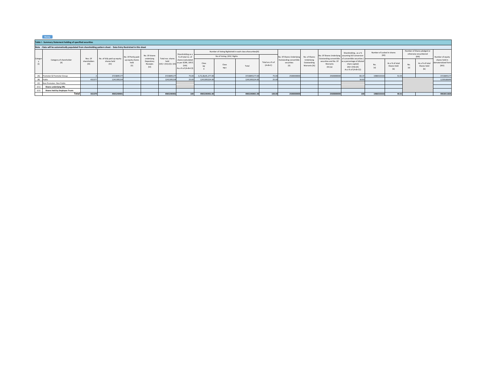|         | Home                                                                                                             |                       |                             |                                 |                                              |                                                     |                                                                                               |                           |                                                             |               |                              |                                              |                                            |                          |                                                                                                                |                            |                                       |                                                     |                                |                                                |
|---------|------------------------------------------------------------------------------------------------------------------|-----------------------|-----------------------------|---------------------------------|----------------------------------------------|-----------------------------------------------------|-----------------------------------------------------------------------------------------------|---------------------------|-------------------------------------------------------------|---------------|------------------------------|----------------------------------------------|--------------------------------------------|--------------------------|----------------------------------------------------------------------------------------------------------------|----------------------------|---------------------------------------|-----------------------------------------------------|--------------------------------|------------------------------------------------|
|         | Table I - Summary Statement holding of specified securities                                                      |                       |                             |                                 |                                              |                                                     |                                                                                               |                           |                                                             |               |                              |                                              |                                            |                          |                                                                                                                |                            |                                       |                                                     |                                |                                                |
|         | Note: Data will be automatically populated from shareholding pattern sheet - Data Entry Restricted in this sheet |                       |                             |                                 |                                              |                                                     |                                                                                               |                           |                                                             |               |                              |                                              |                                            |                          |                                                                                                                |                            |                                       |                                                     |                                |                                                |
|         |                                                                                                                  |                       |                             |                                 |                                              |                                                     | Shareholding as a                                                                             |                           | Number of Voting Rightsheld in each class of securities(IX) |               |                              |                                              |                                            |                          | Shareholding, as a %                                                                                           | Number of Locked in shares |                                       | Number of Shares pledged or<br>otherwise encumbered |                                |                                                |
| Categor |                                                                                                                  | Nos. Of               | No. of fully paid up equity | No. Of Partly paid-             | No. Of shares                                |                                                     | % of total no, of<br>shares (calculated<br>as per SCRR, 1957)<br>(VIII)<br>As a % of (A+B+C2) | No of Voting (XIV) Rights |                                                             |               |                              | No. Of Shares Underlying                     | No. of Shares                              |                          | No. Of Shares Underlying assuming full conversion<br>Outstanding convertible of convertible securities (       | (XII)                      |                                       | (XIII)                                              |                                | Number of equity                               |
|         | Category of shareholder<br>(11)                                                                                  | shareholders<br>(III) | shares held<br>(IV)         | up equity shares<br>held<br>(V) | underlying<br>Depository<br>Receipts<br>(VI) | Total nos. shares<br>held<br>$(VII) = (IV)+(V)+(V)$ |                                                                                               | Class<br>eg:              | Class<br>eg:y                                               | Total         | Total as a % of<br>$(A+B+C)$ | Outstanding convertible<br>securities<br>(X) | Underlying<br>Outstanding<br>Warrants (Xi) | Warrants<br>$(Xi)$ $(a)$ | securities and No. Of as a percentage of diluted<br>share capital)<br>$[X1] = [V11]+[X]$<br>As a % of (A+B+C2) | No.<br>(a)                 | As a % of total<br>Shares held<br>(b) | No.<br>(a)                                          | As a % of total<br>Shares held | shares held in<br>dematerialized form<br>(XIV) |
| (A)     | Promoter & Promoter Group                                                                                        |                       | 3723845177                  |                                 |                                              | 372384517                                           | 75.00                                                                                         | 3,72,38,45,177.00         |                                                             | 3723845177.00 | 75.00                        | 2500000000                                   |                                            | 2500000000               | 83.37                                                                                                          | 1986533333                 | 53.35                                 |                                                     |                                | 3723845177                                     |
| (B)     | Public                                                                                                           | 431577                | 1241395224                  |                                 |                                              | 1241395224                                          | 25.00                                                                                         | 1241395224.00             |                                                             | 1241395224.00 | 25.00                        |                                              |                                            |                          | 16.63                                                                                                          |                            |                                       |                                                     |                                | 1239166649                                     |
|         | (C) Non Promoter- Non Public                                                                                     |                       |                             |                                 |                                              |                                                     |                                                                                               |                           |                                                             |               |                              |                                              |                                            |                          |                                                                                                                |                            |                                       |                                                     |                                |                                                |
| (C1)    | Shares underlying DRs                                                                                            |                       |                             |                                 |                                              |                                                     |                                                                                               |                           |                                                             |               |                              |                                              |                                            |                          |                                                                                                                |                            |                                       |                                                     |                                |                                                |
| (C2)    | Shares held by Employee Trusts                                                                                   |                       |                             |                                 |                                              |                                                     |                                                                                               |                           |                                                             |               |                              |                                              |                                            |                          |                                                                                                                |                            |                                       |                                                     |                                |                                                |
|         | Total                                                                                                            | 431579                | 4965240401                  |                                 |                                              | 4965240401                                          | 100                                                                                           | 4965240401.00             |                                                             | 4965240401.00 | 100.00                       | 2500000000                                   |                                            | 2500000000               | 100                                                                                                            | 1986533333                 | 40.01                                 |                                                     |                                | 4963011826                                     |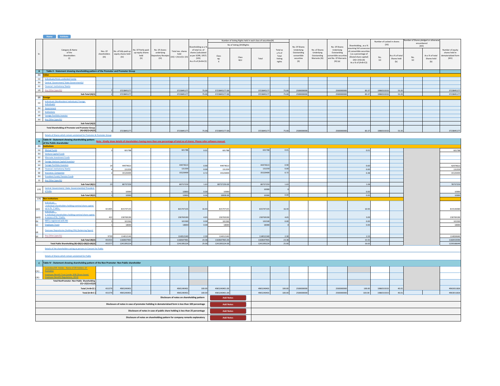|                                                                                                    | Home Validate                                                                                                                                                                                                                                              |                                                              |                      |                                         |                             |                                             |                                       |                         |                           |                            |                   |                           |                                       |                           |                                              |            |               |                      |                 |                                    |
|----------------------------------------------------------------------------------------------------|------------------------------------------------------------------------------------------------------------------------------------------------------------------------------------------------------------------------------------------------------------|--------------------------------------------------------------|----------------------|-----------------------------------------|-----------------------------|---------------------------------------------|---------------------------------------|-------------------------|---------------------------|----------------------------|-------------------|---------------------------|---------------------------------------|---------------------------|----------------------------------------------|------------|---------------|----------------------|-----------------|------------------------------------|
|                                                                                                    |                                                                                                                                                                                                                                                            | Number of Voting Rights held in each class of securities(IX) |                      |                                         |                             |                                             |                                       |                         |                           | Number of Locked in shares |                   |                           | lumber of Shares pledged or otherwise |                           |                                              |            |               |                      |                 |                                    |
|                                                                                                    |                                                                                                                                                                                                                                                            |                                                              |                      |                                         |                             |                                             |                                       |                         | No of Voting (XIV) Rights |                            |                   |                           |                                       |                           | Shareholding, as a %                         | (XII)      |               | encumbered<br>(XIII) |                 |                                    |
|                                                                                                    |                                                                                                                                                                                                                                                            |                                                              |                      |                                         |                             |                                             | Shareholding as a 9                   |                         |                           |                            |                   | No. Of Shares             |                                       | No. Of Shares             | suming full conversio                        |            |               |                      |                 |                                    |
|                                                                                                    | Category & Name<br>of the                                                                                                                                                                                                                                  | Nos. Of                                                      | No. of fully paid up | No. Of Partly paid-<br>up equity shares | No. Of shares<br>underlying | Total nos. shares                           | of total no. of<br>shares (calculated |                         |                           |                            | Total as<br>a% of | Underlying<br>Outstanding | No. of Shares<br>Underlying           | Underlying<br>Outstanding | of convertible securities                    |            |               |                      |                 | Number of equity<br>shares held in |
| Sr.                                                                                                | Shareholders                                                                                                                                                                                                                                               | shareholders                                                 | equity shares held   | held                                    | Depository Receipt          | held                                        | as per SCRR, 1957)                    | Class                   |                           |                            | Total             | convertible               | Outstanding                           | nvertible securit         | (as a percentage of                          |            | s a % of tota |                      | As a % of total | dematerialized form                |
|                                                                                                    | (1)                                                                                                                                                                                                                                                        | (III)                                                        | (IV)                 | (V)                                     | (VI)                        | $(VII) = (IV)+(V)+(VI)$                     | (VIII)                                | $\operatorname{\sf eg}$ | Class                     | Total                      | Voting            | securities                | Warrants (Xi)                         | ind No. Of Warrant        | diluted share capital)<br>$(XI) = (VII)+(X)$ | No.<br>(a) | Shares held   | No.<br>(a)           | Shares held     | (XIV)                              |
|                                                                                                    |                                                                                                                                                                                                                                                            |                                                              |                      |                                         |                             |                                             | As a % of (A+B+C2)                    | $\mathbf{x}$            | eg:y                      |                            | rights            | (X)                       |                                       | $(Xi)$ (a)                | As a % of (A+B+C2)                           |            | (b)           |                      | (b)             |                                    |
|                                                                                                    |                                                                                                                                                                                                                                                            |                                                              |                      |                                         |                             |                                             |                                       |                         |                           |                            |                   |                           |                                       |                           |                                              |            |               |                      |                 |                                    |
|                                                                                                    | A Table II - Statement showing shareholding pattern of the Promoter and Promoter Group                                                                                                                                                                     |                                                              |                      |                                         |                             |                                             |                                       |                         |                           |                            |                   |                           |                                       |                           |                                              |            |               |                      |                 |                                    |
| (1) Indian                                                                                         |                                                                                                                                                                                                                                                            |                                                              |                      |                                         |                             |                                             |                                       |                         |                           |                            |                   |                           |                                       |                           |                                              |            |               |                      |                 |                                    |
| (a)                                                                                                | Individuals/Hindu undivided Family                                                                                                                                                                                                                         |                                                              |                      |                                         |                             |                                             |                                       |                         |                           |                            |                   |                           |                                       |                           |                                              |            |               |                      |                 |                                    |
| (b)                                                                                                | Central Government/ State Government(s)                                                                                                                                                                                                                    |                                                              |                      |                                         |                             |                                             |                                       |                         |                           |                            |                   |                           |                                       |                           |                                              |            |               |                      |                 |                                    |
| (c)                                                                                                | <b>Financial Institutions/Banks</b>                                                                                                                                                                                                                        |                                                              |                      |                                         |                             |                                             |                                       |                         |                           |                            |                   |                           |                                       |                           |                                              |            |               |                      |                 |                                    |
|                                                                                                    | (d) Any Other (specify)                                                                                                                                                                                                                                    |                                                              | 3723845177           |                                         |                             | 3723845177                                  | 75.00                                 | 3723845177.00           |                           | 3723845177                 | 75.00             | 2500000000                |                                       | 2500000000                | 83.37                                        | 1986533333 | 53.35         |                      |                 | 3723845177                         |
|                                                                                                    | Sub-Total (A)(1)                                                                                                                                                                                                                                           |                                                              | 3723845177           |                                         |                             | 3723845177                                  | 75.00                                 | 3723845177.00           |                           | 3723845177                 | 75.00             | 2500000000                |                                       | 2500000000                | 83.37                                        | 1986533333 | 53.35         |                      |                 | 3723845177                         |
|                                                                                                    | (2) <mark>Foreign</mark>                                                                                                                                                                                                                                   |                                                              |                      |                                         |                             |                                             |                                       |                         |                           |                            |                   |                           |                                       |                           |                                              |            |               |                      |                 |                                    |
|                                                                                                    | Individuals (NonResident Individuals/ Foreign                                                                                                                                                                                                              |                                                              |                      |                                         |                             |                                             |                                       |                         |                           |                            |                   |                           |                                       |                           |                                              |            |               |                      |                 |                                    |
| (a)                                                                                                | Individuals)                                                                                                                                                                                                                                               |                                                              |                      |                                         |                             |                                             |                                       |                         |                           |                            |                   |                           |                                       |                           |                                              |            |               |                      |                 |                                    |
| (b)                                                                                                | Government                                                                                                                                                                                                                                                 |                                                              |                      |                                         |                             |                                             |                                       |                         |                           |                            |                   |                           |                                       |                           |                                              |            |               |                      |                 |                                    |
| (c)                                                                                                | Institutions                                                                                                                                                                                                                                               |                                                              |                      |                                         |                             |                                             |                                       |                         |                           |                            |                   |                           |                                       |                           |                                              |            |               |                      |                 |                                    |
| (d)                                                                                                | <b>Foreign Portfolio Investor</b>                                                                                                                                                                                                                          |                                                              |                      |                                         |                             |                                             |                                       |                         |                           |                            |                   |                           |                                       |                           |                                              |            |               |                      |                 |                                    |
|                                                                                                    | (e) Any Other (specify)                                                                                                                                                                                                                                    |                                                              |                      |                                         |                             |                                             |                                       |                         |                           |                            |                   |                           |                                       |                           |                                              |            |               |                      |                 |                                    |
|                                                                                                    | Sub-Total (A)(2)                                                                                                                                                                                                                                           |                                                              |                      |                                         |                             |                                             |                                       |                         |                           |                            |                   |                           |                                       |                           |                                              |            |               |                      |                 |                                    |
|                                                                                                    | <b>Total Shareholding of Promoter and Promoter Group</b>                                                                                                                                                                                                   |                                                              |                      |                                         |                             |                                             |                                       |                         |                           |                            |                   |                           |                                       |                           |                                              |            |               |                      |                 |                                    |
|                                                                                                    | $(A)=(A)(1)+(A)(2)$                                                                                                                                                                                                                                        |                                                              | 3723845177           |                                         |                             | 3723845177                                  | 75.00                                 | 3723845177.00           |                           | 3723845177                 | 75.00             | 250000000                 |                                       | 250000000                 | 83.37                                        | 1986533333 | 53.35         |                      |                 | 3723845177                         |
|                                                                                                    | Details of Shares which remain unclaimed for Promoter & Promoter Group                                                                                                                                                                                     |                                                              |                      |                                         |                             |                                             |                                       |                         |                           |                            |                   |                           |                                       |                           |                                              |            |               |                      |                 |                                    |
|                                                                                                    | Table III - St<br>B of the Public<br>(1) Institutions<br>Table III - Statement showing shareholding pattern<br>Although the Model of State III - Model of Shareholders having more than one percentage of total no of shares. Please refer software manual |                                                              |                      |                                         |                             |                                             |                                       |                         |                           |                            |                   |                           |                                       |                           |                                              |            |               |                      |                 |                                    |
|                                                                                                    |                                                                                                                                                                                                                                                            |                                                              |                      |                                         |                             |                                             |                                       |                         |                           |                            |                   |                           |                                       |                           |                                              |            |               |                      |                 |                                    |
|                                                                                                    |                                                                                                                                                                                                                                                            |                                                              |                      |                                         |                             |                                             |                                       |                         |                           |                            |                   |                           |                                       |                           |                                              |            |               |                      |                 |                                    |
|                                                                                                    | (a) Mutual Funds                                                                                                                                                                                                                                           |                                                              | 601788               |                                         |                             | 601788                                      | 0.01                                  | 601788                  |                           | 601788                     | 0.01              |                           |                                       |                           | 0.01                                         |            |               |                      |                 | 601788                             |
|                                                                                                    | (b) Venture Capital Funds                                                                                                                                                                                                                                  |                                                              |                      |                                         |                             |                                             |                                       |                         |                           |                            |                   |                           |                                       |                           |                                              |            |               |                      |                 |                                    |
| (c)                                                                                                | Alternate Investment Funds                                                                                                                                                                                                                                 |                                                              |                      |                                         |                             |                                             |                                       |                         |                           |                            |                   |                           |                                       |                           |                                              |            |               |                      |                 |                                    |
|                                                                                                    | (d) Foreign Venture Capital Investors                                                                                                                                                                                                                      |                                                              |                      |                                         |                             |                                             |                                       |                         |                           |                            |                   |                           |                                       |                           |                                              |            |               |                      |                 |                                    |
| (e)                                                                                                | <b>Foreign Portfolio Investors</b>                                                                                                                                                                                                                         | 14                                                           | 4447461              |                                         |                             | 44474613<br>131359                          | 0.90                                  | 4447461                 |                           | 44474613<br>131359         | 0.90<br>0.00      |                           |                                       |                           | 0.60                                         |            |               |                      |                 | 42474613                           |
| (f)                                                                                                | Financial Institutions/Banks<br>(g) Insurance Companies                                                                                                                                                                                                    |                                                              | 131359               |                                         |                             | 35529499                                    | 0.00                                  | 131359                  |                           | 35529499                   | 0.72              |                           |                                       |                           | 0.00                                         |            |               |                      |                 | 131359                             |
|                                                                                                    | (h) Provident Funds/ Pension Funds                                                                                                                                                                                                                         |                                                              | 35529499             |                                         |                             |                                             | 0.72                                  | 35529499                |                           |                            |                   |                           |                                       |                           | 0.48                                         |            |               |                      |                 | 35529499                           |
|                                                                                                    | (i) Any Other (specify)                                                                                                                                                                                                                                    |                                                              |                      |                                         |                             |                                             |                                       |                         |                           |                            |                   |                           |                                       |                           |                                              |            |               |                      |                 |                                    |
|                                                                                                    | Sub-Total (B)(1)                                                                                                                                                                                                                                           | 23                                                           | 80737259             |                                         |                             | 80737259                                    | 1.63                                  | 80737259.00             |                           | 80737259                   | 1.63              |                           |                                       |                           | 1.08                                         |            |               |                      |                 | 78737259                           |
|                                                                                                    | Central Government/ State Government(s)/ President                                                                                                                                                                                                         |                                                              |                      |                                         |                             |                                             |                                       |                         |                           |                            |                   |                           |                                       |                           |                                              |            |               |                      |                 |                                    |
| (2)                                                                                                | of India                                                                                                                                                                                                                                                   |                                                              | 10000                |                                         |                             | 10000                                       | 0.00                                  | 10000                   |                           | 10000                      |                   |                           |                                       |                           | 0.00                                         |            |               |                      |                 | 10000                              |
|                                                                                                    | Sub-Total (B)(2)                                                                                                                                                                                                                                           |                                                              | 10000                |                                         |                             | 10000                                       | 0.00                                  | 10000.00                |                           | 10000                      | 0.00              |                           |                                       |                           | 0.00                                         |            |               |                      |                 | 10000                              |
|                                                                                                    | (3) Non-institutions                                                                                                                                                                                                                                       |                                                              |                      |                                         |                             |                                             |                                       |                         |                           |                            |                   |                           |                                       |                           |                                              |            |               |                      |                 |                                    |
|                                                                                                    | Individuals -                                                                                                                                                                                                                                              |                                                              |                      |                                         |                             |                                             |                                       |                         |                           |                            |                   |                           |                                       |                           |                                              |            |               |                      |                 |                                    |
|                                                                                                    | i.Individual shareholders holding nominal share capital<br>up to Rs. 2 lakhs.                                                                                                                                                                              |                                                              |                      |                                         |                             |                                             |                                       |                         |                           |                            |                   |                           |                                       |                           |                                              |            |               |                      |                 |                                    |
| (a(i))                                                                                             | Individuals -                                                                                                                                                                                                                                              | 421405                                                       | 815747135            |                                         |                             | 815747135                                   | 16.43                                 | 815747135               |                           | 815747135                  | 16.4              |                           |                                       |                           | 10.93                                        |            |               |                      |                 | 815526060                          |
|                                                                                                    | ii. Individual shareholders holding nominal share capital                                                                                                                                                                                                  |                                                              |                      |                                         |                             |                                             |                                       |                         |                           |                            |                   |                           |                                       |                           |                                              |            |               |                      |                 |                                    |
|                                                                                                    | in excess of Rs. 2 lakhs.                                                                                                                                                                                                                                  | 42                                                           | 230769190            |                                         |                             | 230769190                                   | 4.6                                   | 230769190               |                           | 23076919                   | 4.6!              |                           |                                       |                           | 3.09                                         |            |               |                      |                 | 230769190                          |
| $(a(ii))$<br>(b)<br>(c)                                                                            | NBFCs registered with RBI                                                                                                                                                                                                                                  |                                                              | 101500               |                                         |                             | 101500                                      | 0.00                                  | 10150                   |                           | 10150                      | 0.01              |                           |                                       |                           | 0.00                                         |            |               |                      |                 | 101500                             |
|                                                                                                    | <b>Employee Trusts</b>                                                                                                                                                                                                                                     |                                                              | 18000                |                                         |                             | 18000                                       | 0.00                                  | 18000                   |                           | 1800                       |                   |                           |                                       |                           | 0.00                                         |            |               |                      |                 | 18000                              |
| (d)                                                                                                | Overseas Depositories (holding DRs) (balancing figure)                                                                                                                                                                                                     |                                                              |                      |                                         |                             |                                             |                                       |                         |                           |                            |                   |                           |                                       |                           |                                              |            |               |                      |                 |                                    |
|                                                                                                    | Any Other (specify)                                                                                                                                                                                                                                        | 9720                                                         | 114012140            |                                         |                             | 114012140                                   | 2.30                                  | 114012140               |                           | 114012140                  | 2.30              |                           |                                       |                           | 1.53                                         |            |               |                      |                 | 114004640                          |
|                                                                                                    | Sub-Total (B)(3                                                                                                                                                                                                                                            | 431553                                                       | 1160647965           |                                         |                             | 1160647965                                  | 23.38                                 | 1160647965.00           |                           | 1160647965                 | 23.38             |                           |                                       |                           | 15.55                                        |            |               |                      |                 | 1160419390                         |
|                                                                                                    | Total Public Shareholding (B)=(B)(1)+(B)(2)+(B)(3)                                                                                                                                                                                                         | 431577                                                       | 1241395224           |                                         |                             | 1241395224                                  | 25.00                                 | 1241395224.00           |                           | 1241395224                 | 25.00             |                           |                                       |                           | 16.63                                        |            |               |                      |                 | 1239166649                         |
|                                                                                                    | Details of the shareholders acting as persons in Concert for Public                                                                                                                                                                                        |                                                              |                      |                                         |                             |                                             |                                       |                         |                           |                            |                   |                           |                                       |                           |                                              |            |               |                      |                 |                                    |
|                                                                                                    |                                                                                                                                                                                                                                                            |                                                              |                      |                                         |                             |                                             |                                       |                         |                           |                            |                   |                           |                                       |                           |                                              |            |               |                      |                 |                                    |
|                                                                                                    | Details of Shares which remain unclaimed for Public                                                                                                                                                                                                        |                                                              |                      |                                         |                             |                                             |                                       |                         |                           |                            |                   |                           |                                       |                           |                                              |            |               |                      |                 |                                    |
|                                                                                                    |                                                                                                                                                                                                                                                            |                                                              |                      |                                         |                             |                                             |                                       |                         |                           |                            |                   |                           |                                       |                           |                                              |            |               |                      |                 |                                    |
|                                                                                                    | C Table IV - Statement showing shareholding pattern of the Non Promoter- Non Public shareholder                                                                                                                                                            |                                                              |                      |                                         |                             |                                             |                                       |                         |                           |                            |                   |                           |                                       |                           |                                              |            |               |                      |                 |                                    |
|                                                                                                    | <u> Custodian/DR_Holder - Name of DR Holders_(If</u>                                                                                                                                                                                                       |                                                              |                      |                                         |                             |                                             |                                       |                         |                           |                            |                   |                           |                                       |                           |                                              |            |               |                      |                 |                                    |
| (1)                                                                                                | Available)                                                                                                                                                                                                                                                 |                                                              |                      |                                         |                             |                                             |                                       |                         |                           |                            |                   |                           |                                       |                           |                                              |            |               |                      |                 |                                    |
| (2)                                                                                                | <b>Employee Benefit Trust (under SEBI (Share based)</b><br><b>Employee Benefit) Regulations, 2014).</b>                                                                                                                                                    |                                                              |                      |                                         |                             |                                             |                                       |                         |                           |                            |                   |                           |                                       |                           |                                              |            |               |                      |                 |                                    |
|                                                                                                    | Total NonPromoter- Non Public Shareholding                                                                                                                                                                                                                 |                                                              |                      |                                         |                             |                                             |                                       |                         |                           |                            |                   |                           |                                       |                           |                                              |            |               |                      |                 |                                    |
|                                                                                                    | $(C) = (C)(1)+(C)(2)$                                                                                                                                                                                                                                      |                                                              |                      |                                         |                             |                                             |                                       |                         |                           |                            |                   |                           |                                       |                           |                                              |            |               |                      |                 |                                    |
|                                                                                                    | Total (A+B+C2                                                                                                                                                                                                                                              | 431579                                                       | 4965240401           |                                         |                             | 4965240401                                  | 100.00                                | 4965240401.00           |                           | 4965240401                 | 100.00            | 250000000                 |                                       | 250000000                 | 100.00                                       | 198653333  | 40.01         |                      |                 | 4963011826                         |
|                                                                                                    | Total (A+B+C                                                                                                                                                                                                                                               | 431579                                                       | 4965240401           |                                         |                             | 4965240401                                  | 100.00                                | 4965240401.00           |                           | 4965240401                 | 100.00            | 250000000                 |                                       | 250000000                 | 100.00                                       | 1986533333 | 40.01         |                      |                 | 4963011826                         |
|                                                                                                    |                                                                                                                                                                                                                                                            |                                                              |                      |                                         |                             | Disclosure of notes on shareholding pattern |                                       | <b>Add Notes</b>        |                           |                            |                   |                           |                                       |                           |                                              |            |               |                      |                 |                                    |
|                                                                                                    |                                                                                                                                                                                                                                                            |                                                              |                      |                                         |                             |                                             |                                       |                         |                           |                            |                   |                           |                                       |                           |                                              |            |               |                      |                 |                                    |
| Disclosure of notes in case of promoter holiding in dematerialsed form is less than 100 percentage |                                                                                                                                                                                                                                                            |                                                              |                      |                                         |                             |                                             |                                       | <b>Add Notes</b>        |                           |                            |                   |                           |                                       |                           |                                              |            |               |                      |                 |                                    |
| Disclosure of notes in case of public share holding is less than 25 percentage                     |                                                                                                                                                                                                                                                            |                                                              |                      |                                         |                             |                                             |                                       |                         |                           |                            |                   |                           |                                       |                           |                                              |            |               |                      |                 |                                    |
|                                                                                                    |                                                                                                                                                                                                                                                            |                                                              |                      |                                         |                             |                                             |                                       | <b>Add Notes</b>        |                           |                            |                   |                           |                                       |                           |                                              |            |               |                      |                 |                                    |
|                                                                                                    |                                                                                                                                                                                                                                                            |                                                              |                      |                                         |                             |                                             |                                       | <b>Add Notes</b>        |                           |                            |                   |                           |                                       |                           |                                              |            |               |                      |                 |                                    |
|                                                                                                    | Disclosure of notes on shareholding pattern for company remarks explanatory                                                                                                                                                                                |                                                              |                      |                                         |                             |                                             |                                       |                         |                           |                            |                   |                           |                                       |                           |                                              |            |               |                      |                 |                                    |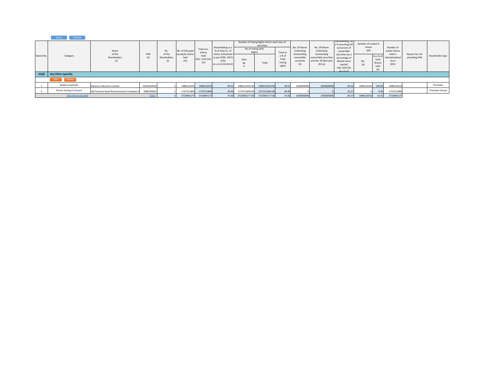|             | Validate<br>Home         |                                              |              |                        |                                                       |                                                     |                                                                                                                    |                                                                                                         |               |                                     |                                                 |                                                                            |                                                                                                               |                                        |                                      |                                            |                                 |                  |
|-------------|--------------------------|----------------------------------------------|--------------|------------------------|-------------------------------------------------------|-----------------------------------------------------|--------------------------------------------------------------------------------------------------------------------|---------------------------------------------------------------------------------------------------------|---------------|-------------------------------------|-------------------------------------------------|----------------------------------------------------------------------------|---------------------------------------------------------------------------------------------------------------|----------------------------------------|--------------------------------------|--------------------------------------------|---------------------------------|------------------|
| Searial No. | Category                 | Name<br>of the<br>Shareholders<br>(1)        |              | No.                    | No. of fully paid<br>up equity shares<br>held<br>(IV) | Total nos.<br>shares<br>held<br>$(VII) = (IV)+(V)+$ | Shareholding as a<br>% of total no. of<br>shares (calculated<br>as per SCRR, 1957)<br>(VIII)<br>As a % of (A+B+C2) | Number of Voting Rights held in each class of<br>securities<br>No of Voting (XIV)<br>Rights<br>Total as |               |                                     | No. Of Shares<br>Underlying                     | No. Of Shares<br>Underlying                                                | shareholding, as<br>a % assuming full<br>conversion of<br>convertible                                         | Number of Locked in<br>shares<br>(XII) |                                      | Number of<br>equity shares                 |                                 |                  |
|             |                          |                                              | PAN<br>(II)  | of the<br>Shareholders |                                                       |                                                     |                                                                                                                    | Class<br>eg:                                                                                            | Total         | a % of<br>Total<br>Voting<br>rights | Outstanding<br>convertible<br>securities<br>(X) | Outstanding<br>convertible securities<br>and No. Of Warrants<br>$(Xi)$ (a) | securities (as a<br>percentage of<br>diluted share<br>capital)<br>$(XI) = (VII)+(X)$<br>$A \in \mathbb{R}$ of | No.<br>(a)                             | As a % of<br>total<br>Shares<br>held | held in<br>dematerialized<br>form<br>(XIV) | Reason for not<br>providing PAN | Shareholder type |
| A1(d)       | Any Other (specify)      |                                              |              |                        |                                                       |                                                     |                                                                                                                    |                                                                                                         |               |                                     |                                                 |                                                                            |                                                                                                               |                                        |                                      |                                            |                                 |                  |
|             | Add<br>Delete            |                                              |              |                        |                                                       |                                                     |                                                                                                                    |                                                                                                         |               |                                     |                                                 |                                                                            |                                                                                                               |                                        |                                      |                                            |                                 |                  |
|             | <b>Bodies Corporate</b>  | Reliance Industries Limited                  | AAACR5055K   |                        | 1986533333                                            | 1986533333                                          | 40.01                                                                                                              | 1986533333.00                                                                                           | 1986533333.00 | 40.01                               | 2500000000                                      | 2500000000                                                                 | 60.10                                                                                                         | 1986533333                             | 100.00                               | 1986533333                                 |                                 | Promoter         |
|             | Person Acting in Concert | JM Financial Asset Reconstruction Company Li | AABCJ9062F   |                        | 1737311844                                            | 1737311844                                          | 34.99                                                                                                              | 1737311844.00                                                                                           | 1737311844.00 | 34.99                               |                                                 |                                                                            | 23.27                                                                                                         |                                        | 0.00                                 | 1737311844                                 |                                 | Promoter Group   |
|             | Click here to go back    |                                              | <b>Total</b> |                        | 3723845177                                            | 3723845177                                          | 75.00                                                                                                              | 3723845177.00                                                                                           | 3723845177.00 | 75.00                               | 2500000000                                      | 2500000000                                                                 | 83.37                                                                                                         | 1986533333                             | 53.35                                | 3723845177                                 |                                 |                  |

.